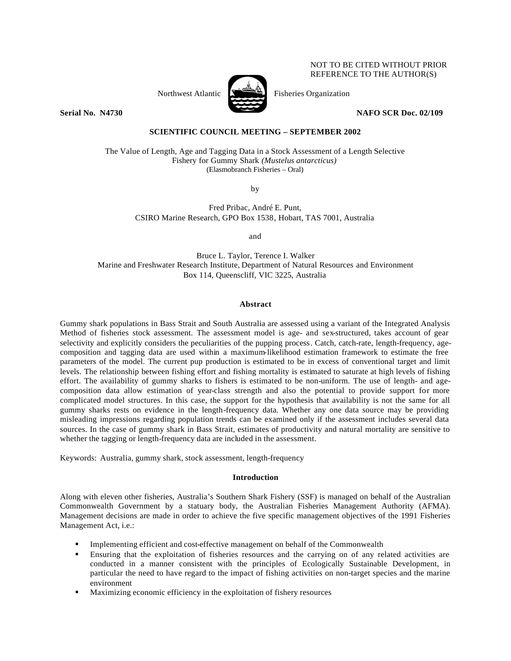# Northwest Atlantic  $\sum_{n=1}^{\infty}$  Fisheries Organization

NOT TO BE CITED WITHOUT PRIOR REFERENCE TO THE AUTHOR(S)

**Serial No. N4730 NAFO SCR Doc. 02/109**

# **SCIENTIFIC COUNCIL MEETING – SEPTEMBER 2002**

The Value of Length, Age and Tagging Data in a Stock Assessment of a Length Selective Fishery for Gummy Shark *(Mustelus antarcticus)* (Elasmobranch Fisheries – Oral)

by

Fred Pribac, André E. Punt, CSIRO Marine Research, GPO Box 1538, Hobart, TAS 7001, Australia

and

Bruce L. Taylor, Terence I. Walker Marine and Freshwater Research Institute, Department of Natural Resources and Environment Box 114, Queenscliff, VIC 3225, Australia

# **Abstract**

Gummy shark populations in Bass Strait and South Australia are assessed using a variant of the Integrated Analysis Method of fisheries stock assessment. The assessment model is age- and sex-structured, takes account of gear selectivity and explicitly considers the peculiarities of the pupping process. Catch, catch-rate, length-frequency, agecomposition and tagging data are used within a maximum-likelihood estimation framework to estimate the free parameters of the model. The current pup production is estimated to be in excess of conventional target and limit levels. The relationship between fishing effort and fishing mortality is estimated to saturate at high levels of fishing effort. The availability of gummy sharks to fishers is estimated to be non-uniform. The use of length- and agecomposition data allow estimation of year-class strength and also the potential to provide support for more complicated model structures. In this case, the support for the hypothesis that availability is not the same for all gummy sharks rests on evidence in the length-frequency data. Whether any one data source may be providing misleading impressions regarding population trends can be examined only if the assessment includes several data sources. In the case of gummy shark in Bass Strait, estimates of productivity and natural mortality are sensitive to whether the tagging or length-frequency data are included in the assessment.

Keywords: Australia, gummy shark, stock assessment, length-frequency

# **Introduction**

Along with eleven other fisheries, Australia's Southern Shark Fishery (SSF) is managed on behalf of the Australian Commonwealth Government by a statuary body, the Australian Fisheries Management Authority (AFMA). Management decisions are made in order to achieve the five specific management objectives of the 1991 Fisheries Management Act, i.e.:

- ß Implementing efficient and cost-effective management on behalf of the Commonwealth
- ß Ensuring that the exploitation of fisheries resources and the carrying on of any related activities are conducted in a manner consistent with the principles of Ecologically Sustainable Development, in particular the need to have regard to the impact of fishing activities on non-target species and the marine environment
- ß Maximizing economic efficiency in the exploitation of fishery resources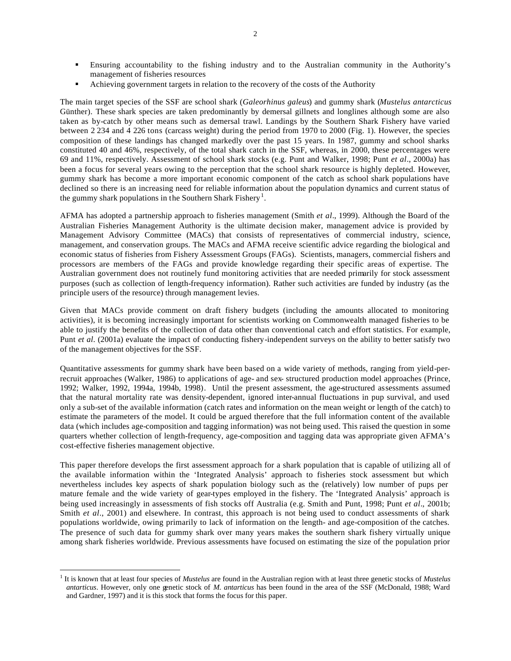- ß Ensuring accountability to the fishing industry and to the Australian community in the Authority's management of fisheries resources
- ß Achieving government targets in relation to the recovery of the costs of the Authority

The main target species of the SSF are school shark (*Galeorhinus galeus*) and gummy shark (*Mustelus antarcticus* Günther). These shark species are taken predominantly by demersal gillnets and longlines although some are also taken as by-catch by other means such as demersal trawl. Landings by the Southern Shark Fishery have varied between 2 234 and 4 226 tons (carcass weight) during the period from 1970 to 2000 (Fig. 1). However, the species composition of these landings has changed markedly over the past 15 years. In 1987, gummy and school sharks constituted 40 and 46%, respectively, of the total shark catch in the SSF, whereas, in 2000, these percentages were 69 and 11%, respectively. Assessment of school shark stocks (e.g. Punt and Walker, 1998; Punt *et al*., 2000a) has been a focus for several years owing to the perception that the school shark resource is highly depleted. However, gummy shark has become a more important economic component of the catch as school shark populations have declined so there is an increasing need for reliable information about the population dynamics and current status of the gummy shark populations in the Southern Shark Fishery<sup>1</sup>.

AFMA has adopted a partnership approach to fisheries management (Smith *et al*., 1999). Although the Board of the Australian Fisheries Management Authority is the ultimate decision maker, management advice is provided by Management Advisory Committee (MACs) that consists of representatives of commercial industry, science, management, and conservation groups. The MACs and AFMA receive scientific advice regarding the biological and economic status of fisheries from Fishery Assessment Groups (FAGs). Scientists, managers, commercial fishers and processors are members of the FAGs and provide knowledge regarding their specific areas of expertise. The Australian government does not routinely fund monitoring activities that are needed primarily for stock assessment purposes (such as collection of length-frequency information). Rather such activities are funded by industry (as the principle users of the resource) through management levies.

Given that MACs provide comment on draft fishery budgets (including the amounts allocated to monitoring activities), it is becoming increasingly important for scientists working on Commonwealth managed fisheries to be able to justify the benefits of the collection of data other than conventional catch and effort statistics. For example, Punt *et al*. (2001a) evaluate the impact of conducting fishery-independent surveys on the ability to better satisfy two of the management objectives for the SSF.

Quantitative assessments for gummy shark have been based on a wide variety of methods, ranging from yield-perrecruit approaches (Walker, 1986) to applications of age- and sex- structured production model approaches (Prince, 1992; Walker, 1992, 1994a, 1994b, 1998). Until the present assessment, the age-structured assessments assumed that the natural mortality rate was density-dependent, ignored inter-annual fluctuations in pup survival, and used only a sub-set of the available information (catch rates and information on the mean weight or length of the catch) to estimate the parameters of the model. It could be argued therefore that the full information content of the available data (which includes age-composition and tagging information) was not being used. This raised the question in some quarters whether collection of length-frequency, age-composition and tagging data was appropriate given AFMA's cost-effective fisheries management objective.

This paper therefore develops the first assessment approach for a shark population that is capable of utilizing all of the available information within the 'Integrated Analysis' approach to fisheries stock assessment but which nevertheless includes key aspects of shark population biology such as the (relatively) low number of pups per mature female and the wide variety of gear-types employed in the fishery. The 'Integrated Analysis' approach is being used increasingly in assessments of fish stocks off Australia (e.g. Smith and Punt, 1998; Punt *et al*., 2001b; Smith *et al.*, 2001) and elsewhere. In contrast, this approach is not being used to conduct assessments of shark populations worldwide, owing primarily to lack of information on the length- and age-composition of the catches. The presence of such data for gummy shark over many years makes the southern shark fishery virtually unique among shark fisheries worldwide. Previous assessments have focused on estimating the size of the population prior

 $\overline{a}$ 

<sup>&</sup>lt;sup>1</sup> It is known that at least four species of *Mustelus* are found in the Australian region with at least three genetic stocks of *Mustelus antarticus*. However, only one genetic stock of *M. antarticus* has been found in the area of the SSF (McDonald, 1988; Ward and Gardner, 1997) and it is this stock that forms the focus for this paper.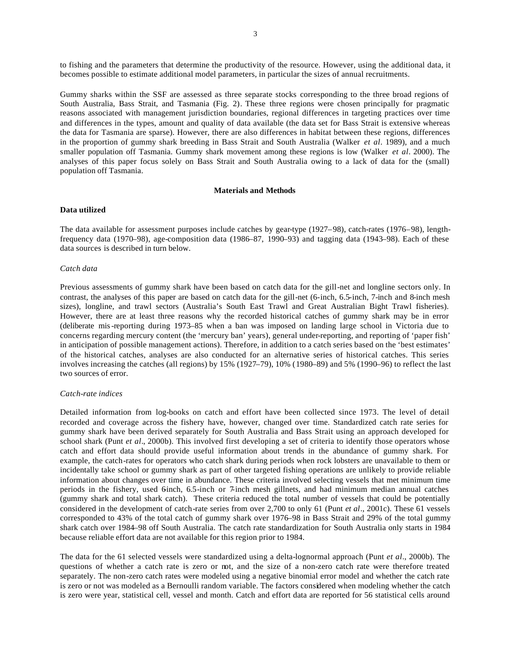to fishing and the parameters that determine the productivity of the resource. However, using the additional data, it becomes possible to estimate additional model parameters, in particular the sizes of annual recruitments.

Gummy sharks within the SSF are assessed as three separate stocks corresponding to the three broad regions of South Australia, Bass Strait, and Tasmania (Fig. 2). These three regions were chosen principally for pragmatic reasons associated with management jurisdiction boundaries, regional differences in targeting practices over time and differences in the types, amount and quality of data available (the data set for Bass Strait is extensive whereas the data for Tasmania are sparse). However, there are also differences in habitat between these regions, differences in the proportion of gummy shark breeding in Bass Strait and South Australia (Walker *et al*. 1989), and a much smaller population off Tasmania. Gummy shark movement among these regions is low (Walker *et al*. 2000). The analyses of this paper focus solely on Bass Strait and South Australia owing to a lack of data for the (small) population off Tasmania.

# **Materials and Methods**

#### **Data utilized**

The data available for assessment purposes include catches by gear-type (1927–98), catch-rates (1976–98), lengthfrequency data (1970–98), age-composition data (1986–87, 1990–93) and tagging data (1943–98). Each of these data sources is described in turn below.

#### *Catch data*

Previous assessments of gummy shark have been based on catch data for the gill-net and longline sectors only. In contrast, the analyses of this paper are based on catch data for the gill-net (6-inch, 6.5-inch, 7-inch and 8-inch mesh sizes), longline, and trawl sectors (Australia's South East Trawl and Great Australian Bight Trawl fisheries). However, there are at least three reasons why the recorded historical catches of gummy shark may be in error (deliberate mis-reporting during 1973–85 when a ban was imposed on landing large school in Victoria due to concerns regarding mercury content (the 'mercury ban' years), general under-reporting, and reporting of 'paper fish' in anticipation of possible management actions). Therefore, in addition to a catch series based on the 'best estimates' of the historical catches, analyses are also conducted for an alternative series of historical catches. This series involves increasing the catches (all regions) by 15% (1927–79), 10% (1980–89) and 5% (1990–96) to reflect the last two sources of error.

#### *Catch-rate indices*

Detailed information from log-books on catch and effort have been collected since 1973. The level of detail recorded and coverage across the fishery have, however, changed over time. Standardized catch rate series for gummy shark have been derived separately for South Australia and Bass Strait using an approach developed for school shark (Punt *et al*., 2000b). This involved first developing a set of criteria to identify those operators whose catch and effort data should provide useful information about trends in the abundance of gummy shark. For example, the catch-rates for operators who catch shark during periods when rock lobsters are unavailable to them or incidentally take school or gummy shark as part of other targeted fishing operations are unlikely to provide reliable information about changes over time in abundance. These criteria involved selecting vessels that met minimum time periods in the fishery, used 6-inch, 6.5-inch or 7-inch mesh gillnets, and had minimum median annual catches (gummy shark and total shark catch). These criteria reduced the total number of vessels that could be potentially considered in the development of catch-rate series from over 2,700 to only 61 (Punt *et al*., 2001c). These 61 vessels corresponded to 43% of the total catch of gummy shark over 1976–98 in Bass Strait and 29% of the total gummy shark catch over 1984–98 off South Australia. The catch rate standardization for South Australia only starts in 1984 because reliable effort data are not available for this region prior to 1984.

The data for the 61 selected vessels were standardized using a delta-lognormal approach (Punt *et al*., 2000b). The questions of whether a catch rate is zero or not, and the size of a non-zero catch rate were therefore treated separately. The non-zero catch rates were modeled using a negative binomial error model and whether the catch rate is zero or not was modeled as a Bernoulli random variable. The factors considered when modeling whether the catch is zero were year, statistical cell, vessel and month. Catch and effort data are reported for 56 statistical cells around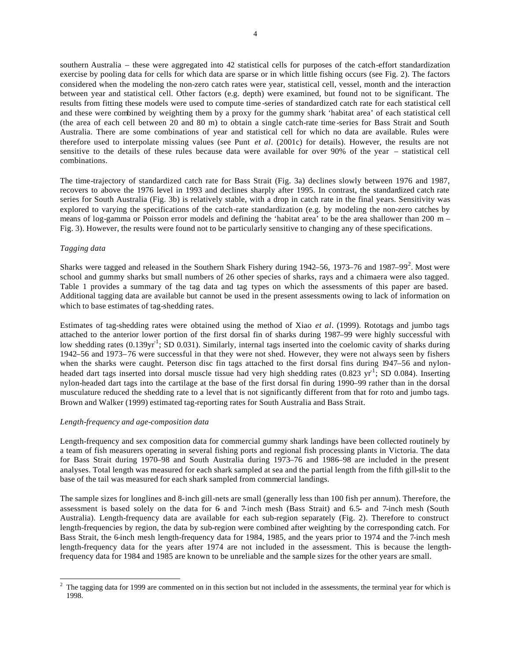4

southern Australia – these were aggregated into 42 statistical cells for purposes of the catch-effort standardization exercise by pooling data for cells for which data are sparse or in which little fishing occurs (see Fig. 2). The factors considered when the modeling the non-zero catch rates were year, statistical cell, vessel, month and the interaction between year and statistical cell. Other factors (e.g. depth) were examined, but found not to be significant. The results from fitting these models were used to compute time -series of standardized catch rate for each statistical cell and these were combined by weighting them by a proxy for the gummy shark 'habitat area' of each statistical cell (the area of each cell between 20 and 80 m) to obtain a single catch-rate time -series for Bass Strait and South Australia. There are some combinations of year and statistical cell for which no data are available. Rules were therefore used to interpolate missing values (see Punt *et al*. (2001c) for details). However, the results are not sensitive to the details of these rules because data were available for over 90% of the year – statistical cell combinations.

The time-trajectory of standardized catch rate for Bass Strait (Fig. 3a) declines slowly between 1976 and 1987, recovers to above the 1976 level in 1993 and declines sharply after 1995. In contrast, the standardized catch rate series for South Australia (Fig. 3b) is relatively stable, with a drop in catch rate in the final years. Sensitivity was explored to varying the specifications of the catch-rate standardization (e.g. by modeling the non-zero catches by means of log-gamma or Poisson error models and defining the 'habitat area' to be the area shallower than 200 m – Fig. 3). However, the results were found not to be particularly sensitive to changing any of these specifications.

# *Tagging data*

Sharks were tagged and released in the Southern Shark Fishery during 1942–56, 1973–76 and 1987–99<sup>2</sup>. Most were school and gummy sharks but small numbers of 26 other species of sharks, rays and a chimaera were also tagged. Table 1 provides a summary of the tag data and tag types on which the assessments of this paper are based. Additional tagging data are available but cannot be used in the present assessments owing to lack of information on which to base estimates of tag-shedding rates.

Estimates of tag-shedding rates were obtained using the method of Xiao *et al*. (1999). Rototags and jumbo tags attached to the anterior lower portion of the first dorsal fin of sharks during 1987–99 were highly successful with low shedding rates (0.139yr<sup>1</sup>; SD 0.031). Similarly, internal tags inserted into the coelomic cavity of sharks during 1942–56 and 1973–76 were successful in that they were not shed. However, they were not always seen by fishers when the sharks were caught. Peterson disc fin tags attached to the first dorsal fins during 1947–56 and nylonheaded dart tags inserted into dorsal muscle tissue had very high shedding rates (0.823 yr<sup>1</sup>; SD 0.084). Inserting nylon-headed dart tags into the cartilage at the base of the first dorsal fin during 1990–99 rather than in the dorsal musculature reduced the shedding rate to a level that is not significantly different from that for roto and jumbo tags. Brown and Walker (1999) estimated tag-reporting rates for South Australia and Bass Strait.

# *Length-frequency and age-composition data*

Length-frequency and sex composition data for commercial gummy shark landings have been collected routinely by a team of fish measurers operating in several fishing ports and regional fish processing plants in Victoria. The data for Bass Strait during 1970–98 and South Australia during 1973–76 and 1986–98 are included in the present analyses. Total length was measured for each shark sampled at sea and the partial length from the fifth gill-slit to the base of the tail was measured for each shark sampled from commercial landings.

The sample sizes for longlines and 8-inch gill-nets are small (generally less than 100 fish per annum). Therefore, the assessment is based solely on the data for 6- and 7-inch mesh (Bass Strait) and 6.5- and 7-inch mesh (South Australia). Length-frequency data are available for each sub-region separately (Fig. 2). Therefore to construct length-frequencies by region, the data by sub-region were combined after weighting by the corresponding catch. For Bass Strait, the 6-inch mesh length-frequency data for 1984, 1985, and the years prior to 1974 and the 7-inch mesh length-frequency data for the years after 1974 are not included in the assessment. This is because the lengthfrequency data for 1984 and 1985 are known to be unreliable and the sample sizes for the other years are small.

 $\overline{a}$  $2$  The tagging data for 1999 are commented on in this section but not included in the assessments, the terminal year for which is 1998.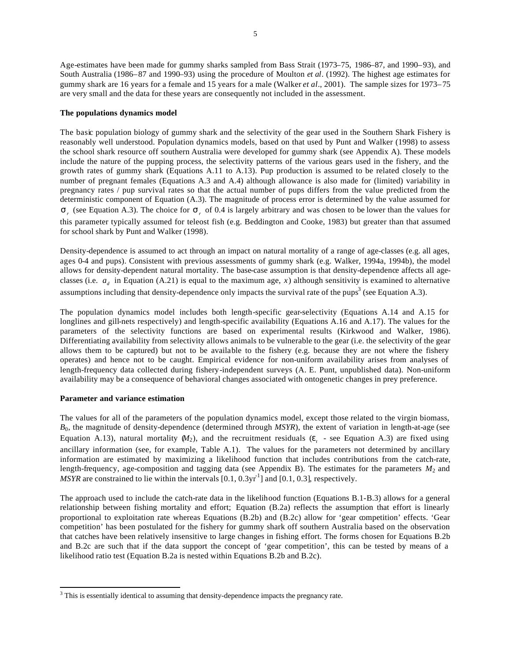Age-estimates have been made for gummy sharks sampled from Bass Strait (1973–75, 1986–87, and 1990–93), and South Australia (1986–87 and 1990–93) using the procedure of Moulton *et al*. (1992). The highest age estimates for gummy shark are 16 years for a female and 15 years for a male (Walker *et al*., 2001). The sample sizes for 1973–75 are very small and the data for these years are consequently not included in the assessment.

#### **The populations dynamics model**

The basic population biology of gummy shark and the selectivity of the gear used in the Southern Shark Fishery is reasonably well understood. Population dynamics models, based on that used by Punt and Walker (1998) to assess the school shark resource off southern Australia were developed for gummy shark (see Appendix A). These models include the nature of the pupping process, the selectivity patterns of the various gears used in the fishery, and the growth rates of gummy shark (Equations A.11 to A.13). Pup production is assumed to be related closely to the number of pregnant females (Equations A.3 and A.4) although allowance is also made for (limited) variability in pregnancy rates / pup survival rates so that the actual number of pups differs from the value predicted from the deterministic component of Equation (A.3). The magnitude of process error is determined by the value assumed for *s*<sub>*r*</sub> (see Equation A.3). The choice for *s<sub>r</sub>* of 0.4 is largely arbitrary and was chosen to be lower than the values for this parameter typically assumed for teleost fish (e.g. Beddington and Cooke, 1983) but greater than that assumed for school shark by Punt and Walker (1998).

Density-dependence is assumed to act through an impact on natural mortality of a range of age-classes (e.g. all ages, ages 0-4 and pups). Consistent with previous assessments of gummy shark (e.g. Walker, 1994a, 1994b), the model allows for density-dependent natural mortality. The base-case assumption is that density-dependence affects all ageclasses (i.e.  $a_d$  in Equation (A.21) is equal to the maximum age, x) although sensitivity is examined to alternative assumptions including that density-dependence only impacts the survival rate of the pups<sup>3</sup> (see Equation A.3).

The population dynamics model includes both length-specific gear-selectivity (Equations A.14 and A.15 for longlines and gill-nets respectively) and length-specific availability (Equations A.16 and A.17). The values for the parameters of the selectivity functions are based on experimental results (Kirkwood and Walker, 1986). Differentiating availability from selectivity allows animals to be vulnerable to the gear (i.e. the selectivity of the gear allows them to be captured) but not to be available to the fishery (e.g. because they are not where the fishery operates) and hence not to be caught. Empirical evidence for non-uniform availability arises from analyses of length-frequency data collected during fishery-independent surveys (A. E. Punt, unpublished data). Non-uniform availability may be a consequence of behavioral changes associated with ontogenetic changes in prey preference.

#### **Parameter and variance estimation**

 $\overline{a}$ 

The values for all of the parameters of the population dynamics model, except those related to the virgin biomass, *B*0, the magnitude of density-dependence (determined through *MSYR*), the extent of variation in length-at-age (see Equation A.13), natural mortality  $(M_2)$ , and the recruitment residuals ( $e_t$  - see Equation A.3) are fixed using ancillary information (see, for example, Table A.1). The values for the parameters not determined by ancillary information are estimated by maximizing a likelihood function that includes contributions from the catch-rate, length-frequency, age-composition and tagging data (see Appendix B). The estimates for the parameters  $M_2$  and  $MSYR$  are constrained to lie within the intervals  $[0.1, 0.3 \text{yr}^{-1}]$  and  $[0.1, 0.3]$ , respectively.

The approach used to include the catch-rate data in the likelihood function (Equations B.1-B.3) allows for a general relationship between fishing mortality and effort; Equation (B.2a) reflects the assumption that effort is linearly proportional to exploitation rate whereas Equations (B.2b) and (B.2c) allow for 'gear competition' effects. 'Gear competition' has been postulated for the fishery for gummy shark off southern Australia based on the observation that catches have been relatively insensitive to large changes in fishing effort. The forms chosen for Equations B.2b and B.2c are such that if the data support the concept of 'gear competition', this can be tested by means of a likelihood ratio test (Equation B.2a is nested within Equations B.2b and B.2c).

 $3$  This is essentially identical to assuming that density-dependence impacts the pregnancy rate.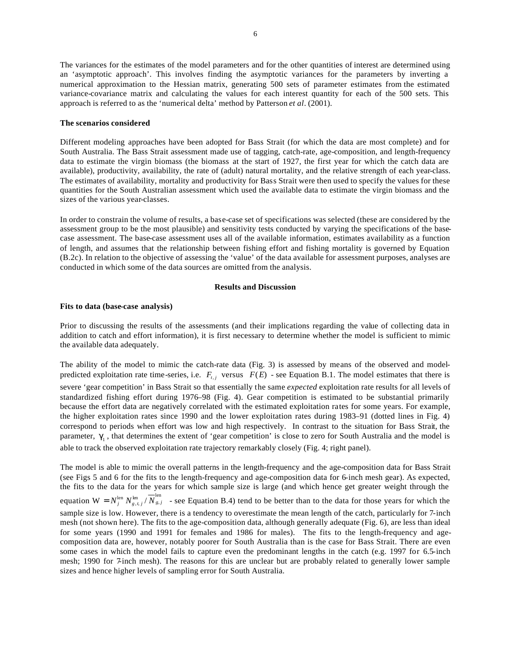The variances for the estimates of the model parameters and for the other quantities of interest are determined using an 'asymptotic approach'. This involves finding the asymptotic variances for the parameters by inverting a numerical approximation to the Hessian matrix, generating 500 sets of parameter estimates from the estimated variance-covariance matrix and calculating the values for each interest quantity for each of the 500 sets. This approach is referred to as the 'numerical delta' method by Patterson *et al*. (2001).

#### **The scenarios considered**

Different modeling approaches have been adopted for Bass Strait (for which the data are most complete) and for South Australia. The Bass Strait assessment made use of tagging, catch-rate, age-composition, and length-frequency data to estimate the virgin biomass (the biomass at the start of 1927, the first year for which the catch data are available), productivity, availability, the rate of (adult) natural mortality, and the relative strength of each year-class. The estimates of availability, mortality and productivity for Bass Strait were then used to specify the values for these quantities for the South Australian assessment which used the available data to estimate the virgin biomass and the sizes of the various year-classes.

In order to constrain the volume of results, a base-case set of specifications was selected (these are considered by the assessment group to be the most plausible) and sensitivity tests conducted by varying the specifications of the basecase assessment. The base-case assessment uses all of the available information, estimates availability as a function of length, and assumes that the relationship between fishing effort and fishing mortality is governed by Equation (B.2c). In relation to the objective of assessing the 'value' of the data available for assessment purposes, analyses are conducted in which some of the data sources are omitted from the analysis.

#### **Results and Discussion**

#### **Fits to data (base-case analysis)**

Prior to discussing the results of the assessments (and their implications regarding the value of collecting data in addition to catch and effort information), it is first necessary to determine whether the model is sufficient to mimic the available data adequately.

The ability of the model to mimic the catch-rate data (Fig. 3) is assessed by means of the observed and modelpredicted exploitation rate time-series, i.e.  $F_{t,j}$  versus  $F(E)$  - see Equation B.1. The model estimates that there is severe 'gear competition' in Bass Strait so that essentially the same *expected* exploitation rate results for all levels of standardized fishing effort during 1976–98 (Fig. 4). Gear competition is estimated to be substantial primarily because the effort data are negatively correlated with the estimated exploitation rates for some years. For example, the higher exploitation rates since 1990 and the lower exploitation rates during 1983–91 (dotted lines in Fig. 4) correspond to periods when effort was low and high respectively. In contrast to the situation for Bass Strait, the parameter,  $g_1$ , that determines the extent of 'gear competition' is close to zero for South Australia and the model is able to track the observed exploitation rate trajectory remarkably closely (Fig. 4; right panel).

The model is able to mimic the overall patterns in the length-frequency and the age-composition data for Bass Strait (see Figs 5 and 6 for the fits to the length-frequency and age-composition data for 6-inch mesh gear). As expected, the fits to the data for the years for which sample size is large (and which hence get greater weight through the equation  $W = N_j^{\text{len}} N_{g,t,j}^{\text{len}} / N_{g,j}^{\text{len}}$  - see Equation B.4) tend to be better than to the data for those years for which the sample size is low. However, there is a tendency to overestimate the mean length of the catch, particularly for 7-inch mesh (not shown here). The fits to the age-composition data, although generally adequate (Fig. 6), are less than ideal for some years (1990 and 1991 for females and 1986 for males). The fits to the length-frequency and agecomposition data are, however, notably poorer for South Australia than is the case for Bass Strait. There are even some cases in which the model fails to capture even the predominant lengths in the catch (e.g. 1997 for 6.5-inch mesh; 1990 for 7-inch mesh). The reasons for this are unclear but are probably related to generally lower sample sizes and hence higher levels of sampling error for South Australia.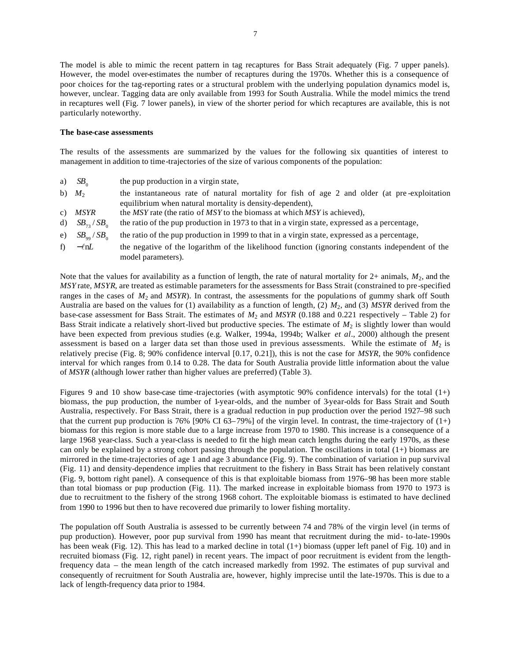The model is able to mimic the recent pattern in tag recaptures for Bass Strait adequately (Fig. 7 upper panels). However, the model over-estimates the number of recaptures during the 1970s. Whether this is a consequence of poor choices for the tag-reporting rates or a structural problem with the underlying population dynamics model is, however, unclear. Tagging data are only available from 1993 for South Australia. While the model mimics the trend in recaptures well (Fig. 7 lower panels), in view of the shorter period for which recaptures are available, this is not particularly noteworthy.

# **The base-case assessments**

The results of the assessments are summarized by the values for the following six quantities of interest to management in addition to time-trajectories of the size of various components of the population:

- a)  $SB<sub>0</sub>$ the pup production in a virgin state,
- b) *M*<sup>2</sup> the instantaneous rate of natural mortality for fish of age 2 and older (at pre -exploitation equilibrium when natural mortality is density-dependent),
- c) *MSYR* the *MSY* rate (the ratio of *MSY* to the biomass at which *MSY* is achieved),
- d)  $SB_{73}/SB_0$  the ratio of the pup production in 1973 to that in a virgin state, expressed as a percentage,
- e)  $SB<sub>oo</sub>/SB<sub>o</sub>$  the ratio of the pup production in 1999 to that in a virgin state, expressed as a percentage,
- f)  $-\ell nL$  the negative of the logarithm of the likelihood function (ignoring constants independent of the model parameters).

Note that the values for availability as a function of length, the rate of natural mortality for 2+ animals,  $M_2$ , and the *MSY* rate, *MSYR*, are treated as estimable parameters for the assessments for Bass Strait (constrained to pre-specified ranges in the cases of  $M_2$  and *MSYR*). In contrast, the assessments for the populations of gummy shark off South Australia are based on the values for (1) availability as a function of length, (2) *M*2, and (3) *MSYR* derived from the base-case assessment for Bass Strait. The estimates of  $M_2$  and *MSYR* (0.188 and 0.221 respectively – Table 2) for Bass Strait indicate a relatively short-lived but productive species. The estimate of *M*2 is slightly lower than would have been expected from previous studies (e.g. Walker, 1994a, 1994b; Walker *et al*., 2000) although the present assessment is based on a larger data set than those used in previous assessments. While the estimate of *M*2 is relatively precise (Fig. 8; 90% confidence interval [0.17, 0.21]), this is not the case for *MSYR*, the 90% confidence interval for which ranges from 0.14 to 0.28. The data for South Australia provide little information about the value of *MSYR* (although lower rather than higher values are preferred) (Table 3).

Figures 9 and 10 show base-case time-trajectories (with asymptotic 90% confidence intervals) for the total  $(1+)$ biomass, the pup production, the number of 1-year-olds, and the number of 3-year-olds for Bass Strait and South Australia, respectively. For Bass Strait, there is a gradual reduction in pup production over the period 1927–98 such that the current pup production is 76% [90% CI 63–79%] of the virgin level. In contrast, the time-trajectory of  $(1+)$ biomass for this region is more stable due to a large increase from 1970 to 1980. This increase is a consequence of a large 1968 year-class. Such a year-class is needed to fit the high mean catch lengths during the early 1970s, as these can only be explained by a strong cohort passing through the population. The oscillations in total (1+) biomass are mirrored in the time-trajectories of age 1 and age 3 abundance (Fig. 9). The combination of variation in pup survival (Fig. 11) and density-dependence implies that recruitment to the fishery in Bass Strait has been relatively constant (Fig. 9, bottom right panel). A consequence of this is that exploitable biomass from 1976–98 has been more stable than total biomass or pup production (Fig. 11). The marked increase in exploitable biomass from 1970 to 1973 is due to recruitment to the fishery of the strong 1968 cohort. The exploitable biomass is estimated to have declined from 1990 to 1996 but then to have recovered due primarily to lower fishing mortality.

The population off South Australia is assessed to be currently between 74 and 78% of the virgin level (in terms of pup production). However, poor pup survival from 1990 has meant that recruitment during the mid- to-late-1990s has been weak (Fig. 12). This has lead to a marked decline in total  $(1+)$  biomass (upper left panel of Fig. 10) and in recruited biomass (Fig. 12, right panel) in recent years. The impact of poor recruitment is evident from the lengthfrequency data – the mean length of the catch increased markedly from 1992. The estimates of pup survival and consequently of recruitment for South Australia are, however, highly imprecise until the late-1970s. This is due to a lack of length-frequency data prior to 1984.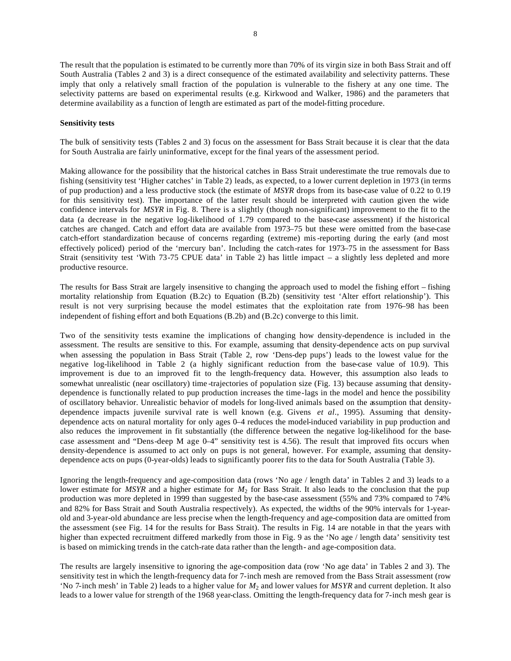The result that the population is estimated to be currently more than 70% of its virgin size in both Bass Strait and off South Australia (Tables 2 and 3) is a direct consequence of the estimated availability and selectivity patterns. These imply that only a relatively small fraction of the population is vulnerable to the fishery at any one time. The selectivity patterns are based on experimental results (e.g. Kirkwood and Walker, 1986) and the parameters that determine availability as a function of length are estimated as part of the model-fitting procedure.

# **Sensitivity tests**

The bulk of sensitivity tests (Tables 2 and 3) focus on the assessment for Bass Strait because it is clear that the data for South Australia are fairly uninformative, except for the final years of the assessment period.

Making allowance for the possibility that the historical catches in Bass Strait underestimate the true removals due to fishing (sensitivity test 'Higher catches' in Table 2) leads, as expected, to a lower current depletion in 1973 (in terms of pup production) and a less productive stock (the estimate of *MSYR* drops from its base-case value of 0.22 to 0.19 for this sensitivity test). The importance of the latter result should be interpreted with caution given the wide confidence intervals for *MSYR* in Fig. 8. There is a slightly (though non-significant) improvement to the fit to the data (a decrease in the negative log-likelihood of 1.79 compared to the base-case assessment) if the historical catches are changed. Catch and effort data are available from 1973–75 but these were omitted from the base-case catch-effort standardization because of concerns regarding (extreme) mis-reporting during the early (and most effectively policed) period of the 'mercury ban'. Including the catch-rates for 1973–75 in the assessment for Bass Strait (sensitivity test 'With 73-75 CPUE data' in Table 2) has little impact – a slightly less depleted and more productive resource.

The results for Bass Strait are largely insensitive to changing the approach used to model the fishing effort – fishing mortality relationship from Equation (B.2c) to Equation (B.2b) (sensitivity test 'Alter effort relationship'). This result is not very surprising because the model estimates that the exploitation rate from 1976–98 has been independent of fishing effort and both Equations (B.2b) and (B.2c) converge to this limit.

Two of the sensitivity tests examine the implications of changing how density-dependence is included in the assessment. The results are sensitive to this. For example, assuming that density-dependence acts on pup survival when assessing the population in Bass Strait (Table 2, row 'Dens-dep pups') leads to the lowest value for the negative log-likelihood in Table 2 (a highly significant reduction from the base-case value of 10.9). This improvement is due to an improved fit to the length-frequency data. However, this assumption also leads to somewhat unrealistic (near oscillatory) time -trajectories of population size (Fig. 13) because assuming that densitydependence is functionally related to pup production increases the time-lags in the model and hence the possibility of oscillatory behavior. Unrealistic behavior of models for long-lived animals based on the assumption that densitydependence impacts juvenile survival rate is well known (e.g. Givens *et al*., 1995). Assuming that densitydependence acts on natural mortality for only ages 0–4 reduces the model-induced variability in pup production and also reduces the improvement in fit substantially (the difference between the negative log-likelihood for the basecase assessment and "Dens-deep M age 0–4" sensitivity test is 4.56). The result that improved fits occurs when density-dependence is assumed to act only on pups is not general, however. For example, assuming that densitydependence acts on pups (0-year-olds) leads to significantly poorer fits to the data for South Australia (Table 3).

Ignoring the length-frequency and age-composition data (rows 'No age / length data' in Tables 2 and 3) leads to a lower estimate for *MSYR* and a higher estimate for  $M_2$  for Bass Strait. It also leads to the conclusion that the pup production was more depleted in 1999 than suggested by the base-case assessment (55% and 73% compared to 74% and 82% for Bass Strait and South Australia respectively). As expected, the widths of the 90% intervals for 1-yearold and 3-year-old abundance are less precise when the length-frequency and age-composition data are omitted from the assessment (see Fig. 14 for the results for Bass Strait). The results in Fig. 14 are notable in that the years with higher than expected recruitment differed markedly from those in Fig. 9 as the 'No age / length data' sensitivity test is based on mimicking trends in the catch-rate data rather than the length- and age-composition data.

The results are largely insensitive to ignoring the age-composition data (row 'No age data' in Tables 2 and 3). The sensitivity test in which the length-frequency data for 7-inch mesh are removed from the Bass Strait assessment (row 'No 7-inch mesh' in Table 2) leads to a higher value for *M*2 and lower values for *MSYR* and current depletion. It also leads to a lower value for strength of the 1968 year-class. Omitting the length-frequency data for 7-inch mesh gear is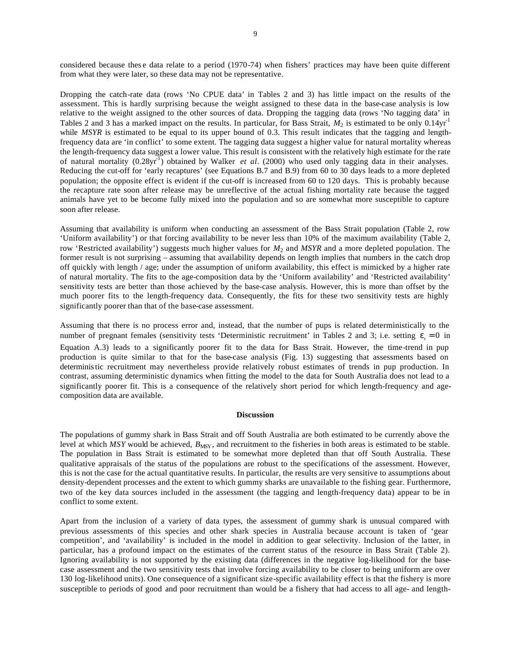considered because thes e data relate to a period (1970-74) when fishers' practices may have been quite different from what they were later, so these data may not be representative.

Dropping the catch-rate data (rows 'No CPUE data' in Tables 2 and 3) has little impact on the results of the assessment. This is hardly surprising because the weight assigned to these data in the base-case analysis is low relative to the weight assigned to the other sources of data. Dropping the tagging data (rows 'No tagging data' in Tables 2 and 3 has a marked impact on the results. In particular, for Bass Strait,  $M_2$  is estimated to be only 0.14yr<sup>-1</sup> while *MSYR* is estimated to be equal to its upper bound of 0.3. This result indicates that the tagging and lengthfrequency data are 'in conflict' to some extent. The tagging data suggest a higher value for natural mortality whereas the length-frequency data suggest a lower value. This result is consistent with the relatively high estimate for the rate of natural mortality (0.28yr<sup>1</sup>) obtained by Walker *et al.* (2000) who used only tagging data in their analyses. Reducing the cut-off for 'early recaptures' (see Equations B.7 and B.9) from 60 to 30 days leads to a more depleted population; the opposite effect is evident if the cut-off is increased from 60 to 120 days. This is probably because the recapture rate soon after release may be unreflective of the actual fishing mortality rate because the tagged animals have yet to be become fully mixed into the population and so are somewhat more susceptible to capture soon after release.

Assuming that availability is uniform when conducting an assessment of the Bass Strait population (Table 2, row 'Uniform availability') or that forcing availability to be never less than 10% of the maximum availability (Table 2, row 'Restricted availability') suggests much higher values for *M*2 and *MSYR* and a more depleted population. The former result is not surprising – assuming that availability depends on length implies that numbers in the catch drop off quickly with length / age; under the assumption of uniform availability, this effect is mimicked by a higher rate of natural mortality. The fits to the age-composition data by the 'Uniform availability' and 'Restricted availability' sensitivity tests are better than those achieved by the base-case analysis. However, this is more than offset by the much poorer fits to the length-frequency data. Consequently, the fits for these two sensitivity tests are highly significantly poorer than that of the base-case assessment.

Assuming that there is no process error and, instead, that the number of pups is related deterministically to the number of pregnant females (sensitivity tests 'Deterministic recruitment' in Tables 2 and 3; i.e. setting  $e_t = 0$  in Equation A.3) leads to a significantly poorer fit to the data for Bass Strait. However, the time-trend in pup production is quite similar to that for the base-case analysis (Fig. 13) suggesting that assessments based on deterministic recruitment may nevertheless provide relatively robust estimates of trends in pup production. In contrast, assuming deterministic dynamics when fitting the model to the data for South Australia does not lead to a significantly poorer fit. This is a consequence of the relatively short period for which length-frequency and agecomposition data are available.

# **Discussion**

The populations of gummy shark in Bass Strait and off South Australia are both estimated to be currently above the level at which *MSY* would be achieved,  $B_{\text{MSY}}$ , and recruitment to the fisheries in both areas is estimated to be stable. The population in Bass Strait is estimated to be somewhat more depleted than that off South Australia. These qualitative appraisals of the status of the populations are robust to the specifications of the assessment. However, this is not the case for the actual quantitative results. In particular, the results are very sensitive to assumptions about density-dependent processes and the extent to which gummy sharks are unavailable to the fishing gear. Furthermore, two of the key data sources included in the assessment (the tagging and length-frequency data) appear to be in conflict to some extent.

Apart from the inclusion of a variety of data types, the assessment of gummy shark is unusual compared with previous assessments of this species and other shark species in Australia because account is taken of 'gear competition', and 'availability' is included in the model in addition to gear selectivity. Inclusion of the latter, in particular, has a profound impact on the estimates of the current status of the resource in Bass Strait (Table 2). Ignoring availability is not supported by the existing data (differences in the negative log-likelihood for the basecase assessment and the two sensitivity tests that involve forcing availability to be closer to being uniform are over 130 log-likelihood units). One consequence of a significant size-specific availability effect is that the fishery is more susceptible to periods of good and poor recruitment than would be a fishery that had access to all age- and length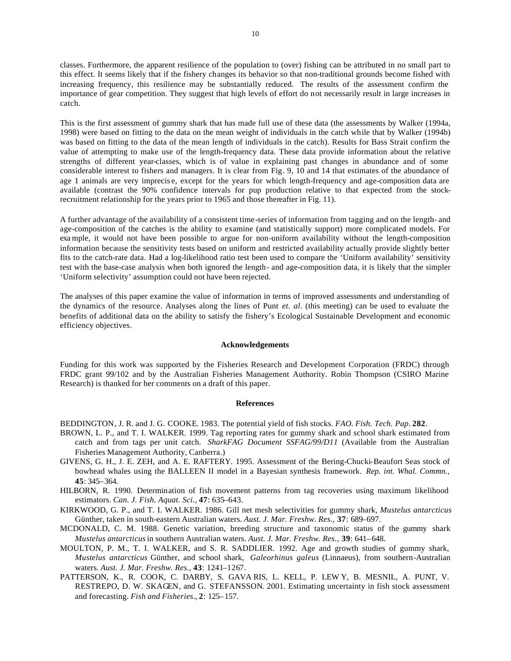classes. Furthermore, the apparent resilience of the population to (over) fishing can be attributed in no small part to this effect. It seems likely that if the fishery changes its behavior so that non-traditional grounds become fished with increasing frequency, this resilience may be substantially reduced. The results of the assessment confirm the importance of gear competition. They suggest that high levels of effort do not necessarily result in large increases in catch.

This is the first assessment of gummy shark that has made full use of these data (the assessments by Walker (1994a, 1998) were based on fitting to the data on the mean weight of individuals in the catch while that by Walker (1994b) was based on fitting to the data of the mean length of individuals in the catch). Results for Bass Strait confirm the value of attempting to make use of the length-frequency data. These data provide information about the relative strengths of different year-classes, which is of value in explaining past changes in abundance and of some considerable interest to fishers and managers. It is clear from Fig. 9, 10 and 14 that estimates of the abundance of age 1 animals are very imprecis e, except for the years for which length-frequency and age-composition data are available (contrast the 90% confidence intervals for pup production relative to that expected from the stockrecruitment relationship for the years prior to 1965 and those thereafter in Fig. 11).

A further advantage of the availability of a consistent time-series of information from tagging and on the length- and age-composition of the catches is the ability to examine (and statistically support) more complicated models. For exa mple, it would not have been possible to argue for non-uniform availability without the length-composition information because the sensitivity tests based on uniform and restricted availability actually provide slightly better fits to the catch-rate data. Had a log-likelihood ratio test been used to compare the 'Uniform availability' sensitivity test with the base-case analysis when both ignored the length- and age-composition data, it is likely that the simpler 'Uniform selectivity' assumption could not have been rejected.

The analyses of this paper examine the value of information in terms of improved assessments and understanding of the dynamics of the resource. Analyses along the lines of Punt *et. al*. (this meeting) can be used to evaluate the benefits of additional data on the ability to satisfy the fishery's Ecological Sustainable Development and economic efficiency objectives.

# **Acknowledgements**

Funding for this work was supported by the Fisheries Research and Development Corporation (FRDC) through FRDC grant 99/102 and by the Australian Fisheries Management Authority. Robin Thompson (CSIRO Marine Research) is thanked for her comments on a draft of this paper.

#### **References**

- BEDDINGTON, J. R. and J. G. COOKE. 1983. The potential yield of fish stocks. *FAO. Fish. Tech. Pap*. **282**.
- BROWN, L. P., and T. I. WALKER. 1999. Tag reporting rates for gummy shark and school shark estimated from catch and from tags per unit catch. *SharkFAG Document SSFAG/99/D11* (Available from the Australian Fisheries Management Authority, Canberra.)
- GIVENS, G. H., J. E. ZEH, and A. E. RAFTERY. 1995. Assessment of the Bering-Chucki-Beaufort Seas stock of bowhead whales using the BALLEEN II model in a Bayesian synthesis framework. *Rep. int. Whal. Commn.,*  **45**: 345–364.
- HILBORN, R. 1990. Determination of fish movement patterns from tag recoveries using maximum likelihood estimators. *Can. J. Fish. Aquat. Sci.,* **47**: 635–643.
- KIRKWOOD, G. P., and T. I. WALKER. 1986. Gill net mesh selectivities for gummy shark*, Mustelus antarcticus* Günther, taken in south-eastern Australian waters. *Aust. J. Mar. Freshw. Res.,* **37**: 689–697.
- MCDONALD, C. M. 1988. Genetic variation, breeding structure and taxonomic status of the gummy shark *Mustelus antarcticus* in southern Australian waters. *Aust. J. Mar. Freshw. Res.,* **39**: 641–648.
- MOULTON, P. M., T. I. WALKER, and S. R. SADDLIER. 1992. Age and growth studies of gummy shark, *Mustelus antarcticus* Günther, and school shark, *Galeorhinus galeus* (Linnaeus), from southern-Australian waters. *Aust. J. Mar. Freshw. Res.,* **43**: 1241–1267.
- PATTERSON, K., R. COOK, C. DARBY, S. GAVA RIS, L. KELL, P. LEW Y, B. MESNIL, A. PUNT, V. RESTREPO, D. W. SKAGEN, and G. STEFANSSON. 2001. Estimating uncertainty in fish stock assessment and forecasting. *Fish and Fisheries*., **2**: 125–157.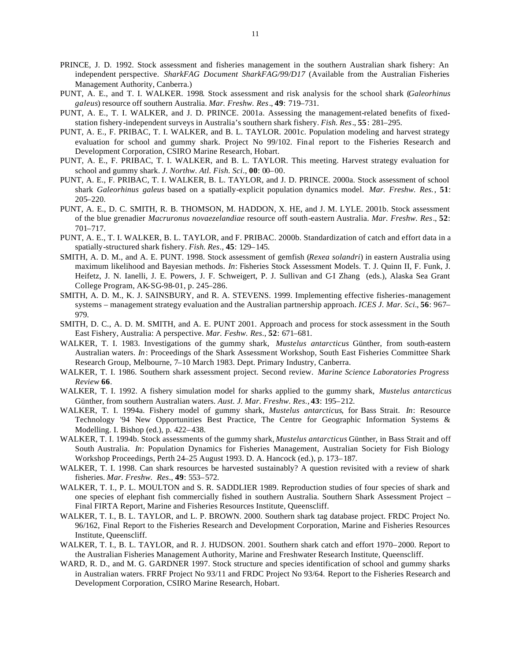- PRINCE, J. D. 1992. Stock assessment and fisheries management in the southern Australian shark fishery: An independent perspective. *SharkFAG Document SharkFAG/99/D17* (Available from the Australian Fisheries Management Authority, Canberra.)
- PUNT, A. E., and T. I. WALKER. 1998. Stock assessment and risk analysis for the school shark (*Galeorhinus galeus*) resource off southern Australia. *Mar. Freshw. Res*., **49**: 719–731.
- PUNT, A. E., T. I. WALKER, and J. D. PRINCE. 2001a. Assessing the management-related benefits of fixedstation fishery-independent surveys in Australia's southern shark fishery. *Fish. Res*., **55**: 281–295.
- PUNT, A. E., F. PRIBAC, T. I. WALKER, and B. L. TAYLOR. 2001c. Population modeling and harvest strategy evaluation for school and gummy shark. Project No 99/102. Final report to the Fisheries Research and Development Corporation, CSIRO Marine Research, Hobart.
- PUNT, A. E., F. PRIBAC, T. I. WALKER, and B. L. TAYLOR. This meeting. Harvest strategy evaluation for school and gummy shark. *J. Northw. Atl. Fish. Sci*., **00**: 00–00.
- PUNT, A. E., F. PRIBAC, T. I. WALKER, B. L. TAYLOR, and J. D. PRINCE. 2000a. Stock assessment of school shark *Galeorhinus galeus* based on a spatially-explicit population dynamics model. *Mar. Freshw. Res.*, **51**: 205–220.
- PUNT, A. E., D. C. SMITH, R. B. THOMSON, M. HADDON, X. HE, and J. M. LYLE. 2001b. Stock assessment of the blue grenadier *Macruronus novaezelandiae* resource off south-eastern Australia. *Mar. Freshw. Res*., **52**: 701–717.
- PUNT, A. E., T. I. WALKER, B. L. TAYLOR, and F. PRIBAC. 2000b. Standardization of catch and effort data in a spatially-structured shark fishery. *Fish. Res*., **45**: 129–145.
- SMITH, A. D. M., and A. E. PUNT. 1998. Stock assessment of gemfish (*Rexea solandri*) in eastern Australia using maximum likelihood and Bayesian methods. *In*: Fisheries Stock Assessment Models. T. J. Quinn II, F. Funk, J. Heifetz, J. N. Ianelli, J. E. Powers, J. F. Schweigert, P. J. Sullivan and C-I Zhang (eds.), Alaska Sea Grant College Program, AK-SG-98-01, p. 245–286.
- SMITH, A. D. M., K. J. SAINSBURY, and R. A. STEVENS. 1999. Implementing effective fisheries-management systems – management strategy evaluation and the Australian partnership approach. *ICES J. Mar. Sci.*, **56**: 967– 979.
- SMITH, D. C., A. D. M. SMITH, and A. E. PUNT 2001. Approach and process for stock assessment in the South East Fishery, Australia: A perspective. *Mar. Feshw. Res*., **52**: 671–681.
- WALKER, T. I. 1983. Investigations of the gummy shark, *Mustelus antarcticus* Günther, from south-eastern Australian waters. *In*: Proceedings of the Shark Assessment Workshop, South East Fisheries Committee Shark Research Group, Melbourne, 7–10 March 1983. Dept. Primary Industry, Canberra.
- WALKER, T. I. 1986. Southern shark assessment project. Second review. *Marine Science Laboratories Progress Review* **66**.
- WALKER, T. I. 1992. A fishery simulation model for sharks applied to the gummy shark, *Mustelus antarcticus* Günther, from southern Australian waters. *Aust. J. Mar. Freshw. Res.,* **43**: 195–212.
- WALKER, T. I. 1994a. Fishery model of gummy shark, *Mustelus antarcticus*, for Bass Strait. *In*: Resource Technology '94 New Opportunities Best Practice, The Centre for Geographic Information Systems & Modelling. I. Bishop (ed.), p. 422–438.
- WALKER, T. I. 1994b. Stock assessments of the gummy shark, *Mustelus antarcticus* Günther, in Bass Strait and off South Australia. *In*: Population Dynamics for Fisheries Management, Australian Society for Fish Biology Workshop Proceedings, Perth 24–25 August 1993. D. A. Hancock (ed.), p. 173–187.
- WALKER, T. I. 1998. Can shark resources be harvested sustainably? A question revisited with a review of shark fisheries. *Mar. Freshw. Res*., **49**: 553–572.
- WALKER, T. I., P. L. MOULTON and S. R. SADDLIER 1989. Reproduction studies of four species of shark and one species of elephant fish commercially fished in southern Australia. Southern Shark Assessment Project – Final FIRTA Report, Marine and Fisheries Resources Institute, Queenscliff.
- WALKER, T. I., B. L. TAYLOR, and L. P. BROWN. 2000. Southern shark tag database project. FRDC Project No. 96/162, Final Report to the Fisheries Research and Development Corporation, Marine and Fisheries Resources Institute, Queenscliff.
- WALKER, T. I., B. L. TAYLOR, and R. J. HUDSON. 2001. Southern shark catch and effort 1970–2000. Report to the Australian Fisheries Management Authority, Marine and Freshwater Research Institute, Queenscliff.
- WARD, R. D., and M. G. GARDNER 1997. Stock structure and species identification of school and gummy sharks in Australian waters. FRRF Project No 93/11 and FRDC Project No 93/64. Report to the Fisheries Research and Development Corporation, CSIRO Marine Research, Hobart.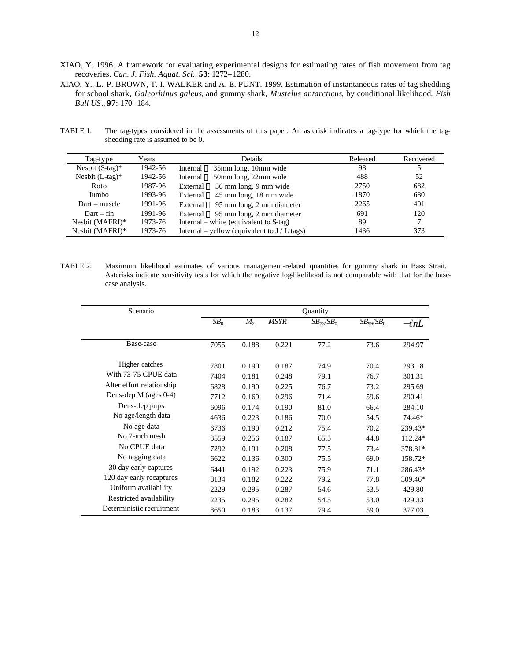- XIAO, Y. 1996. A framework for evaluating experimental designs for estimating rates of fish movement from tag recoveries. *Can. J. Fish. Aquat. Sci.,* **53**: 1272–1280.
- XIAO, Y., L. P. BROWN, T. I. WALKER and A. E. PUNT. 1999. Estimation of instantaneous rates of tag shedding for school shark, *Galeorhinus galeus*, and gummy shark, *Mustelus antarcticus*, by conditional likelihood*. Fish Bull US*., **97**: 170–184.
- TABLE 1. The tag-types considered in the assessments of this paper. An asterisk indicates a tag-type for which the tagshedding rate is assumed to be 0.

| Tag-type           | Years   | Details                                      | Released | Recovered |
|--------------------|---------|----------------------------------------------|----------|-----------|
| Nesbit $(S$ -tag)* | 1942-56 | Internal — 35mm long, 10mm wide              | 98       |           |
| Nesbit $(L$ -tag)* | 1942-56 | Internal — 50mm long, 22mm wide              | 488      | 52        |
| Roto               | 1987-96 | External $-36$ mm long, 9 mm wide            | 2750     | 682       |
| Jumbo              | 1993-96 | External — 45 mm long, 18 mm wide            | 1870     | 680       |
| Dart – muscle      | 1991-96 | External — 95 mm long, 2 mm diameter         | 2265     | 401       |
| $Dart - fin$       | 1991-96 | External — 95 mm long, 2 mm diameter         | 691      | 120       |
| Nesbit (MAFRI)*    | 1973-76 | Internal – white (equivalent to $S$ -tag)    | 89       | 7         |
| Nesbit (MAFRI)*    | 1973-76 | Internal – yellow (equivalent to $J/L$ tags) | 1436     | 373       |

TABLE 2. Maximum likelihood estimates of various management-related quantities for gummy shark in Bass Strait. Asterisks indicate sensitivity tests for which the negative log-likelihood is not comparable with that for the basecase analysis.

| Scenario                  |                 |         |             | Quantity       |                                   |            |
|---------------------------|-----------------|---------|-------------|----------------|-----------------------------------|------------|
|                           | SB <sub>0</sub> | $M_{2}$ | <b>MSYR</b> | $SB_{73}/SB_0$ | SB <sub>99</sub> /SB <sub>0</sub> | $-\ell nL$ |
|                           |                 |         |             |                |                                   |            |
| Base-case                 | 7055            | 0.188   | 0.221       | 77.2           | 73.6                              | 294.97     |
|                           |                 |         |             |                |                                   |            |
| Higher catches            | 7801            | 0.190   | 0.187       | 74.9           | 70.4                              | 293.18     |
| With 73-75 CPUE data      | 7404            | 0.181   | 0.248       | 79.1           | 76.7                              | 301.31     |
| Alter effort relationship | 6828            | 0.190   | 0.225       | 76.7           | 73.2                              | 295.69     |
| Dens-dep $M$ (ages 0-4)   | 7712            | 0.169   | 0.296       | 71.4           | 59.6                              | 290.41     |
| Dens-dep pups             | 6096            | 0.174   | 0.190       | 81.0           | 66.4                              | 284.10     |
| No age/length data        | 4636            | 0.223   | 0.186       | 70.0           | 54.5                              | 74.46*     |
| No age data               | 6736            | 0.190   | 0.212       | 75.4           | 70.2                              | 239.43*    |
| No 7-inch mesh            | 3559            | 0.256   | 0.187       | 65.5           | 44.8                              | 112.24*    |
| No CPUE data              | 7292            | 0.191   | 0.208       | 77.5           | 73.4                              | 378.81*    |
| No tagging data           | 6622            | 0.136   | 0.300       | 75.5           | 69.0                              | 158.72*    |
| 30 day early captures     | 6441            | 0.192   | 0.223       | 75.9           | 71.1                              | 286.43*    |
| 120 day early recaptures  | 8134            | 0.182   | 0.222       | 79.2           | 77.8                              | 309.46*    |
| Uniform availability      | 2229            | 0.295   | 0.287       | 54.6           | 53.5                              | 429.80     |
| Restricted availability   | 2235            | 0.295   | 0.282       | 54.5           | 53.0                              | 429.33     |
| Deterministic recruitment | 8650            | 0.183   | 0.137       | 79.4           | 59.0                              | 377.03     |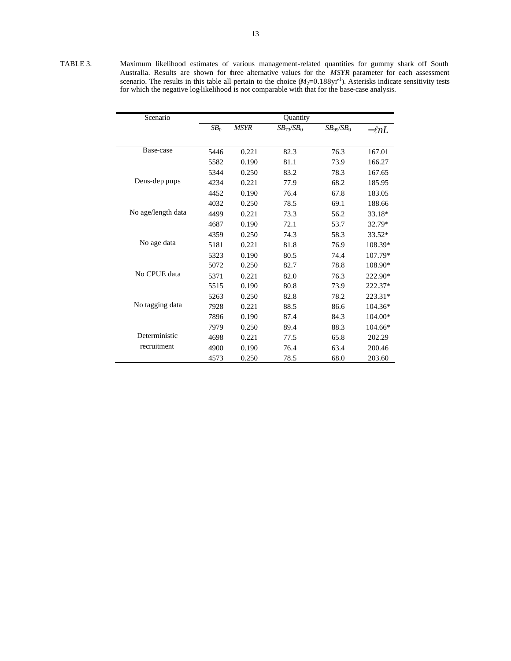TABLE 3. Maximum likelihood estimates of various management-related quantities for gummy shark off South Australia. Results are shown for three alternative values for the *MSYR* parameter for each assessment scenario. The results in this table all pertain to the choice  $(M_2=0.188 \text{yr}^{-1})$ . Asterisks indicate sensitivity tests for which the negative log-likelihood is not comparable with that for the base-case analysis.

| Scenario           | Quantity        |             |                                        |                                   |            |
|--------------------|-----------------|-------------|----------------------------------------|-----------------------------------|------------|
|                    | SB <sub>0</sub> | <b>MSYR</b> | $SB$ <sub>73</sub> / $SB$ <sub>0</sub> | SB <sub>99</sub> /SB <sub>0</sub> | $-\ell nL$ |
|                    |                 |             |                                        |                                   |            |
| Base-case          | 5446            | 0.221       | 82.3                                   | 76.3                              | 167.01     |
|                    | 5582            | 0.190       | 81.1                                   | 73.9                              | 166.27     |
|                    | 5344            | 0.250       | 83.2                                   | 78.3                              | 167.65     |
| Dens-dep pups      | 4234            | 0.221       | 77.9                                   | 68.2                              | 185.95     |
|                    | 4452            | 0.190       | 76.4                                   | 67.8                              | 183.05     |
|                    | 4032            | 0.250       | 78.5                                   | 69.1                              | 188.66     |
| No age/length data | 4499            | 0.221       | 73.3                                   | 56.2                              | 33.18*     |
|                    | 4687            | 0.190       | 72.1                                   | 53.7                              | 32.79*     |
|                    | 4359            | 0.250       | 74.3                                   | 58.3                              | 33.52*     |
| No age data        | 5181            | 0.221       | 81.8                                   | 76.9                              | 108.39*    |
|                    | 5323            | 0.190       | 80.5                                   | 74.4                              | 107.79*    |
|                    | 5072            | 0.250       | 82.7                                   | 78.8                              | 108.90*    |
| No CPUE data       | 5371            | 0.221       | 82.0                                   | 76.3                              | 222.90*    |
|                    | 5515            | 0.190       | 80.8                                   | 73.9                              | 222.37*    |
|                    | 5263            | 0.250       | 82.8                                   | 78.2                              | 223.31*    |
| No tagging data    | 7928            | 0.221       | 88.5                                   | 86.6                              | 104.36*    |
|                    | 7896            | 0.190       | 87.4                                   | 84.3                              | 104.00*    |
|                    | 7979            | 0.250       | 89.4                                   | 88.3                              | 104.66*    |
| Deterministic      | 4698            | 0.221       | 77.5                                   | 65.8                              | 202.29     |
| recruitment        | 4900            | 0.190       | 76.4                                   | 63.4                              | 200.46     |
|                    | 4573            | 0.250       | 78.5                                   | 68.0                              | 203.60     |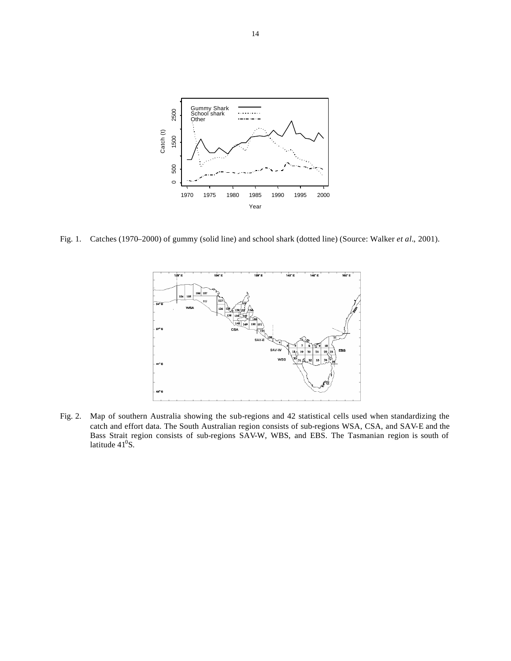

Fig. 1. Catches (1970–2000) of gummy (solid line) and school shark (dotted line) (Source: Walker *et al.*, 2001).



Fig. 2. Map of southern Australia showing the sub-regions and 42 statistical cells used when standardizing the catch and effort data. The South Australian region consists of sub-regions WSA, CSA, and SAV-E and the Bass Strait region consists of sub-regions SAV-W, WBS, and EBS. The Tasmanian region is south of latitude  $41^0$ S.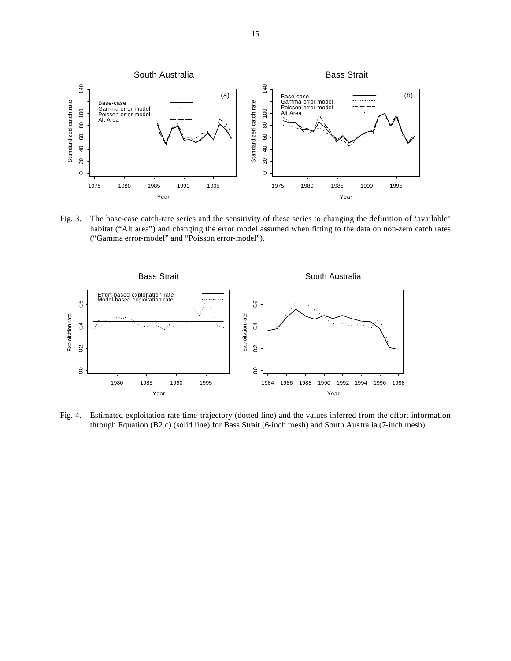

Fig. 3. The base-case catch-rate series and the sensitivity of these series to changing the definition of 'available' habitat ("Alt area") and changing the error model assumed when fitting to the data on non-zero catch rates ("Gamma error-model" and "Poisson error-model").



Fig. 4. Estimated exploitation rate time-trajectory (dotted line) and the values inferred from the effort information through Equation (B2.c) (solid line) for Bass Strait (6-inch mesh) and South Australia (7-inch mesh).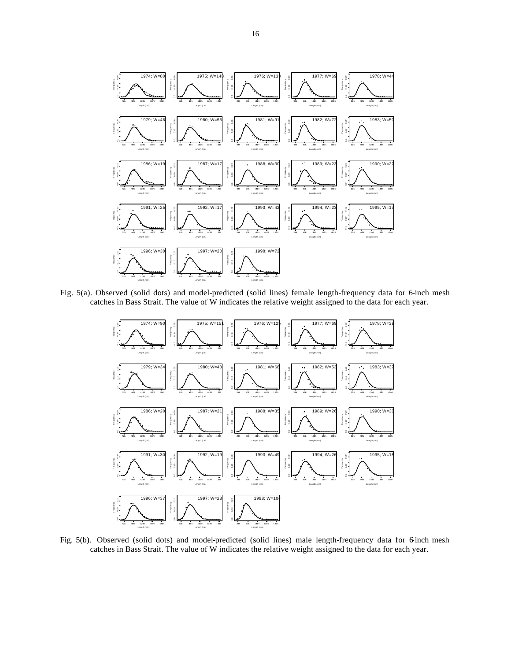

Fig. 5(a). Observed (solid dots) and model-predicted (solid lines) female length-frequency data for 6-inch mesh catches in Bass Strait. The value of W indicates the relative weight assigned to the data for each year.



Fig. 5(b). Observed (solid dots) and model-predicted (solid lines) male length-frequency data for 6-inch mesh catches in Bass Strait. The value of W indicates the relative weight assigned to the data for each year.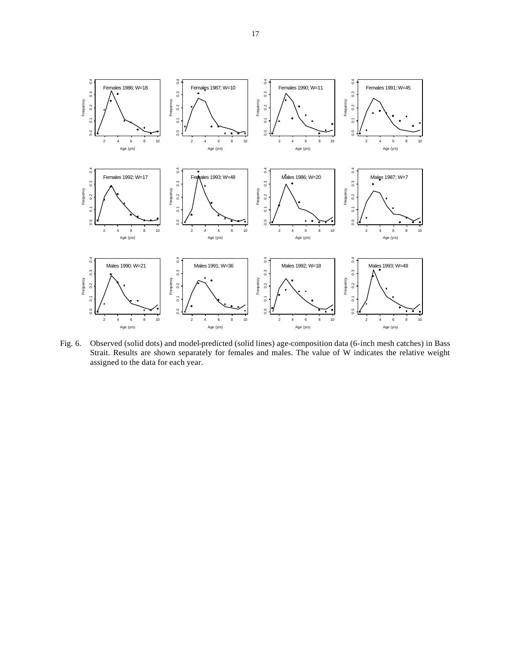

Fig. 6. Observed (solid dots) and model-predicted (solid lines) age-composition data (6-inch mesh catches) in Bass Strait. Results are shown separately for females and males. The value of W indicates the relative weight assigned to the data for each year.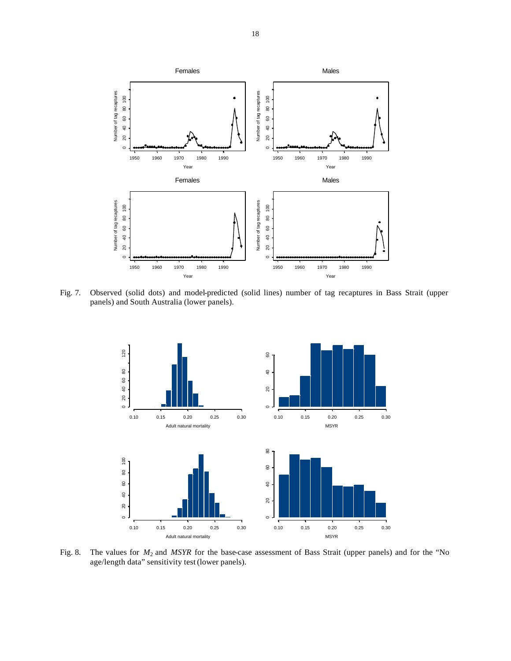

Fig. 7. Observed (solid dots) and model-predicted (solid lines) number of tag recaptures in Bass Strait (upper panels) and South Australia (lower panels).



Fig. 8. The values for *M*2 and *MSYR* for the base-case assessment of Bass Strait (upper panels) and for the "No age/length data" sensitivity test (lower panels).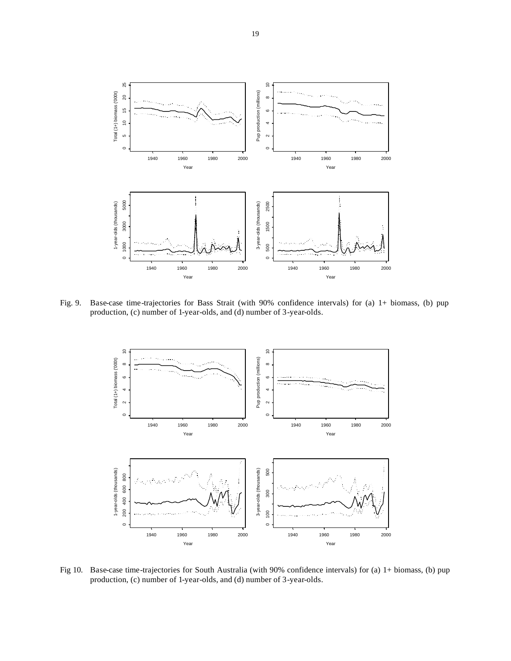

Fig. 9. Base-case time-trajectories for Bass Strait (with 90% confidence intervals) for (a) 1+ biomass, (b) pup production, (c) number of 1-year-olds, and (d) number of 3-year-olds.



Fig 10. Base-case time-trajectories for South Australia (with 90% confidence intervals) for (a) 1+ biomass, (b) pup production, (c) number of 1-year-olds, and (d) number of 3-year-olds.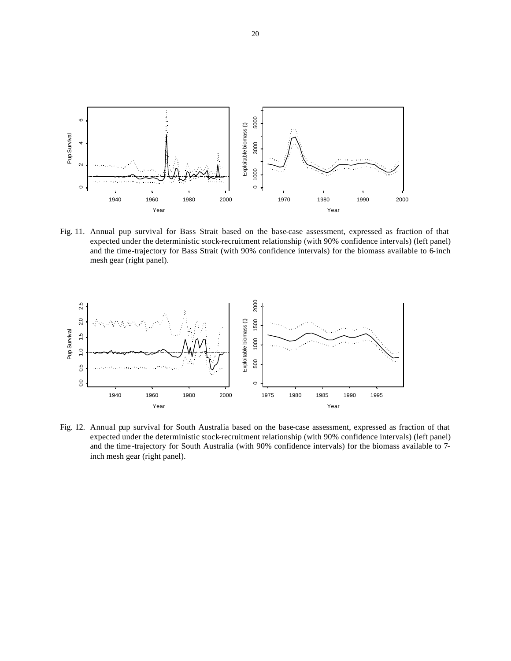

Fig. 11. Annual pup survival for Bass Strait based on the base-case assessment, expressed as fraction of that expected under the deterministic stock-recruitment relationship (with 90% confidence intervals) (left panel) and the time-trajectory for Bass Strait (with 90% confidence intervals) for the biomass available to 6-inch mesh gear (right panel).



Fig. 12. Annual pup survival for South Australia based on the base-case assessment, expressed as fraction of that expected under the deterministic stock-recruitment relationship (with 90% confidence intervals) (left panel) and the time -trajectory for South Australia (with 90% confidence intervals) for the biomass available to 7 inch mesh gear (right panel).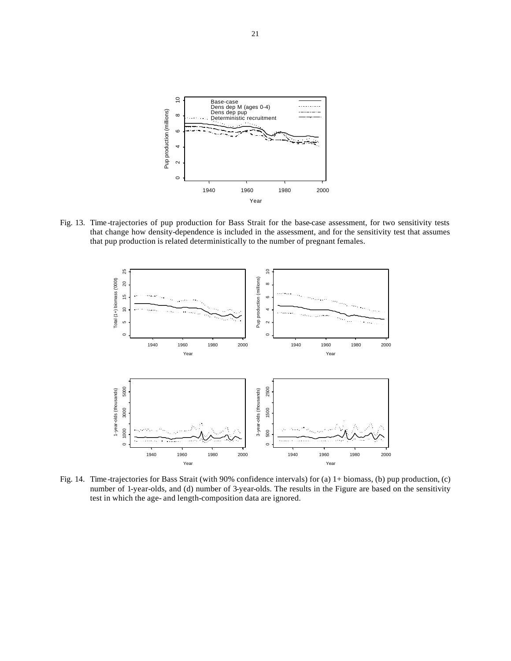

Fig. 13. Time -trajectories of pup production for Bass Strait for the base-case assessment, for two sensitivity tests that change how density-dependence is included in the assessment, and for the sensitivity test that assumes that pup production is related deterministically to the number of pregnant females.



Fig. 14. Time -trajectories for Bass Strait (with 90% confidence intervals) for (a) 1+ biomass, (b) pup production, (c) number of 1-year-olds, and (d) number of 3-year-olds. The results in the Figure are based on the sensitivity test in which the age- and length-composition data are ignored.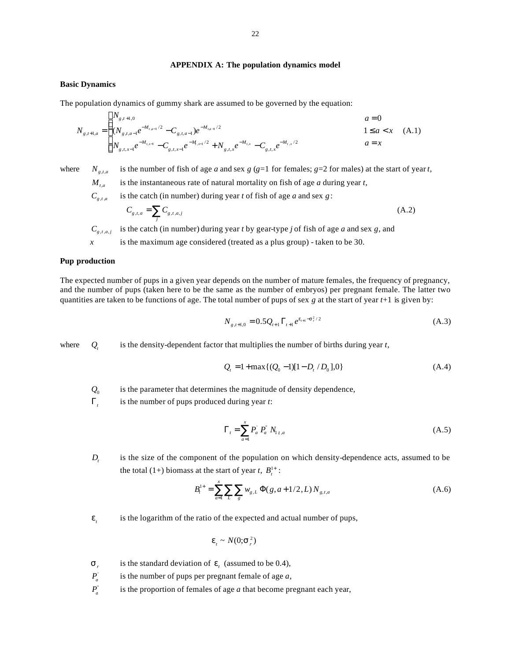# **APPENDIX A: The population dynamics model**

#### **Basic Dynamics**

The population dynamics of gummy shark are assumed to be governed by the equation:

$$
N_{g,t+1,a} = \begin{cases} N_{g,t+1,0} & a=0\\ (N_{g,t,a-1}e^{-M_{t,a-1}/2} - C_{g,t,a-1})e^{-M_{t,a-1}/2} & 1 \le a < x\\ N_{g,t,x-1}e^{-M_{t,x-1}} - C_{g,t,x-1}e^{-M_{t,x-1}/2} + N_{g,t,x}e^{-M_{t,x}} - C_{g,t,x}e^{-M_{t,x}/2} & a=x \end{cases}
$$
(A.1)

where  $N_{g,t,a}$ 

is the number of fish of age *a* and sex  $g$  ( $g=1$  for females;  $g=2$  for males) at the start of year *t*,

 $M$ <sup>t a</sup>, is the instantaneous rate of natural mortality on fish of age *a* during year *t*,

 $C_{g,t,a}$ is the catch (in number) during year *t* of fish of age *a* and sex *g*:

$$
C_{g,t,a} = \sum_{j} C_{g,t,a,j} \tag{A.2}
$$

 $C_{g,t,a,j}$ is the catch (in number) during year *t* by gear-type *j* of fish of age *a* and sex *g*, and

*x* is the maximum age considered (treated as a plus group) - taken to be 30.

# **Pup production**

The expected number of pups in a given year depends on the number of mature females, the frequency of pregnancy, and the number of pups (taken here to be the same as the number of embryos) per pregnant female. The latter two quantities are taken to be functions of age. The total number of pups of sex *g* at the start of year *t*+1 is given by:

$$
N_{g,t+1,0} = 0.5 Q_{t+1} \Gamma_{t+1} e^{e_{t+1} - s_r^2 / 2}
$$
\n(A.3)

where  $Q_t$ is the density-dependent factor that multiplies the number of births during year *t*,

$$
Q_t = 1 + \max\{(Q_0 - 1)[1 - D_t / D_0], 0\}
$$
 (A.4)

 $Q_0$ is the parameter that determines the magnitude of density dependence,

Γ*t* is the number of pups produced during year *t*:

$$
\Gamma_{t} = \sum_{a=1}^{x} P_{a}^{'} P_{a}^{''} N_{1 t, a}
$$
\n(A.5)

 $D_{t}$ is the size of the component of the population on which density-dependence acts, assumed to be the total (1+) biomass at the start of year *t*,  $B_t^{1+}$ :

$$
B_t^{1+} = \sum_{a=1}^x \sum_{L} \sum_g w_{g,L} \Phi(g, a+1/2, L) N_{g,t,a}
$$
 (A.6)

*t* is the logarithm of the ratio of the expected and actual number of pups,

$$
\mathbf{e}_{t} \sim N(0; \mathbf{S}_{t}^{2})
$$

*sr* is the standard deviation of  $\boldsymbol{e}_i$  (assumed to be 0.4),

 $P_{a}^{'}$ is the number of pups per pregnant female of age *a*,

 $P_a^r$ is the proportion of females of age *a* that become pregnant each year,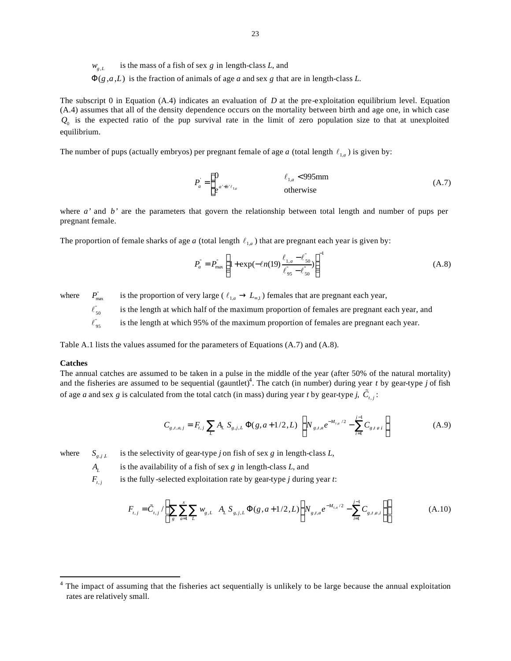$W_{g,L}$ is the mass of a fish of sex *g* in length-class *L*, and  $\Phi(g,a,L)$  is the fraction of animals of age *a* and sex *g* that are in length-class *L*.

The subscript 0 in Equation (A.4) indicates an evaluation of *D* at the pre-exploitation equilibrium level. Equation (A.4) assumes that all of the density dependence occurs on the mortality between birth and age one, in which case  $Q_0$  is the expected ratio of the pup survival rate in the limit of zero population size to that at unexploited equilibrium.

The number of pups (actually embryos) per pregnant female of age *a* (total length  $\ell_{1,a}$ ) is given by:

$$
P_a = \begin{cases} 0 & \ell_{1,a} < 995 \text{mm} \\ e^{a^* + b^* \ell_{1,a}} & \text{otherwise} \end{cases}
$$
 (A.7)

where *a'* and *b'* are the parameters that govern the relationship between total length and number of pups per pregnant female.

The proportion of female sharks of age  $a$  (total length  $\ell_{1,a}$ ) that are pregnant each year is given by:

$$
P_a^{\dagger} = P_{\text{max}}^{\dagger} \left( 1 + \exp(-\ell n(19) \frac{\ell_{1,a} - \ell_{50}^{\dagger}}{\ell_{95}^{\dagger} - \ell_{50}^{\dagger}}) \right)^{-1}
$$
(A.8)

where  $P_{\text{max}}^{\prime}$ is the proportion of very large ( $\ell_{1,a} \to L_{\infty,1}$ ) females that are pregnant each year,

 $\ell_{50}$ " is the length at which half of the maximum proportion of females are pregnant each year, and

 $\ell_{\alpha 5}$ is the length at which 95% of the maximum proportion of females are pregnant each year.

Table A.1 lists the values assumed for the parameters of Equations (A.7) and (A.8).

#### **Catches**

 $\overline{a}$ 

The annual catches are assumed to be taken in a pulse in the middle of the year (after 50% of the natural mortality) and the fisheries are assumed to be sequential  $(g\text{auntlet})^4$ . The catch (in number) during year *t* by gear-type *j* of fish of age *a* and sex *g* is calculated from the total catch (in mass) during year *t* by gear-type *j*,  $\tilde{C}_{t,j}$ :

$$
C_{g,t,a,j} = F_{t,j} \sum_{L} A_{L} S_{g,j,L} \Phi(g,a+1/2,L) \left( N_{g,t,a} e^{-M_{t,a}/2} - \sum_{i=1}^{j-1} C_{g,t,a} i \right)
$$
(A.9)

where  $S_{g,jL}$ is the selectivity of gear-type *j* on fish of sex *g* in length-class *L*,

> $A$ <sub>L</sub> is the availability of a fish of sex *g* in length-class *L*, and

 $F_{t}$ <sup> $\prime$ </sup> is the fully -selected exploitation rate by gear-type *j* during year *t*:

$$
F_{t,j} = \tilde{C}_{t,j} / \left( \sum_{g} \sum_{a=1}^{x} \sum_{L} w_{g,L} A_{L} S_{g,j,L} \Phi(g,a+1/2,L) \left( N_{g,t,a} e^{-M_{t,a}/2} - \sum_{i=1}^{j-1} C_{g,t,a,i} \right) \right)
$$
(A.10)

<sup>4</sup> The impact of assuming that the fisheries act sequentially is unlikely to be large because the annual exploitation rates are relatively small.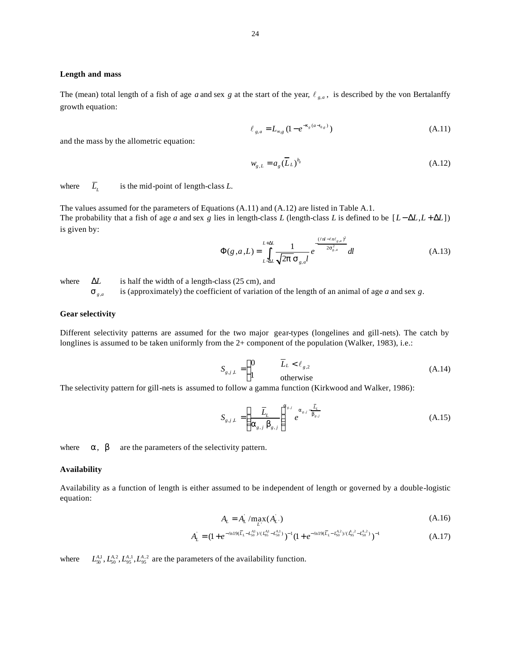#### **Length and mass**

The (mean) total length of a fish of age *a* and sex *g* at the start of the year,  $\ell_{g,a}$ , is described by the von Bertalanffy growth equation:

$$
\ell_{g,a} = L_{\infty,g} \left( 1 - e^{-k_g (a - t_{0,g})} \right) \tag{A.11}
$$

and the mass by the allometric equation:

$$
w_{g,L} = a_g \left(\overline{L}_L\right)^{b_g} \tag{A.12}
$$

where  $\overline{L}_r$ *L* is the mid-point of length-class *L*.

The values assumed for the parameters of Equations (A.11) and (A.12) are listed in Table A.1. The probability that a fish of age *a* and sex *g* lies in length-class *L* (length-class *L* is defined to be  $[L - \Delta L, L + \Delta L]$ ) is given by:

$$
\Phi(g,a,L) = \int_{L-\Delta L}^{L+\Delta L} \frac{1}{\sqrt{2p} \, \mathbf{s}_{g,a} l} e^{\frac{((\varepsilon n - \varepsilon n/\varepsilon_{g,a})^2)}{2 \, \mathbf{s}_{g,a}^2}} dl \tag{A.13}
$$

where  $\Delta L$  is half the width of a length-class (25 cm), and *s g a*, is (approximately) the coefficient of variation of the length of an animal of age *a* and sex *g*.

#### **Gear selectivity**

Different selectivity patterns are assumed for the two major gear-types (longelines and gill-nets). The catch by longlines is assumed to be taken uniformly from the 2+ component of the population (Walker, 1983), i.e.:

$$
S_{g,j,L} = \begin{cases} 0 & \overline{L}_L < \ell_{g,2} \\ 1 & \text{otherwise} \end{cases}
$$
 (A.14)

The selectivity pattern for gill-nets is assumed to follow a gamma function (Kirkwood and Walker, 1986):

$$
S_{g,j,L} = \left(\frac{\overline{L}_L}{\mathbf{a}_{g,j}\,\mathbf{b}_{g,j}}\right)^{\mathbf{a}_{g,j}} e^{\mathbf{a}_{g,j}\frac{\overline{L}_L}{\mathbf{b}_{g,j}}}
$$
(A.15)

where  $\boldsymbol{a}$ ,  $\boldsymbol{b}$  are the parameters of the selectivity pattern.

#### **Availability**

Availability as a function of length is either assumed to be independent of length or governed by a double-logistic equation:

$$
A_L = A_L / \max_L(A_L.)
$$
\n(A.16)

$$
A_{L}^{'} = (1 + e^{-\ell n 19(\overline{L}_{L} - L_{50}^{A1})/(\overline{L}_{95}^{A1} - L_{50}^{A1})})^{-1} (1 + e^{-\ell n 19(\overline{L}_{L} - L_{50}^{A2})/(\overline{L}_{95}^{A2} - L_{50}^{A2})})^{-1}
$$
(A.17)

where  $L_{50}^{A,1}, L_{50}^{A,2}, L_{95}^{A,1}, L_{95}^{A,2}$  are the parameters of the availability function.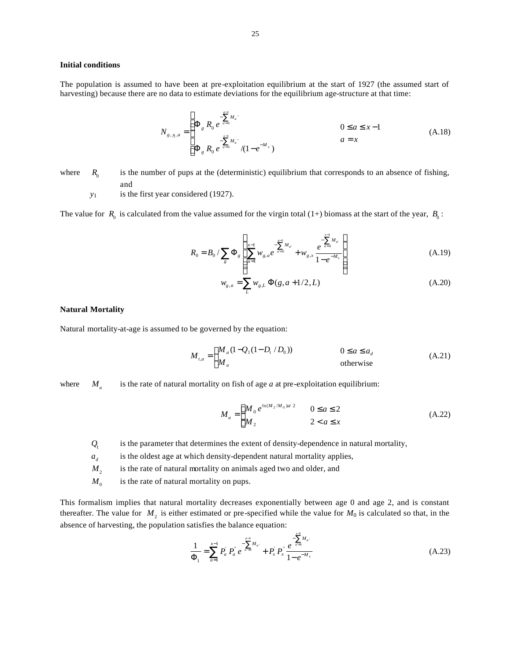# **Initial conditions**

The population is assumed to have been at pre-exploitation equilibrium at the start of 1927 (the assumed start of harvesting) because there are no data to estimate deviations for the equilibrium age-structure at that time:

$$
N_{g,y,a} = \begin{cases} \Phi_g R_0 e^{-\sum_{a=0}^{x-1} M_a}, & 0 \le a \le x-1 \\ \Phi_g R_0 e^{\sum_{a=0}^{x-1} M_a}, & a = x \end{cases}
$$
(A.18)

where  $R_0$ is the number of pups at the (deterministic) equilibrium that corresponds to an absence of fishing, and

*y*<sup>1</sup> is the first year considered (1927).

The value for  $R_0$  is calculated from the value assumed for the virgin total (1+) biomass at the start of the year,  $B_0$ :

$$
R_0 = B_0 / \sum_{g} \Phi_g \left( \sum_{a=1}^{x-1} w_{g,a} e^{-\sum_{a=0}^{a-1} M_{a'}} + w_{g,x} \frac{e^{-\sum_{a=0}^{x-1} M_{a'}}}{1 - e^{-M_x}} \right)
$$
(A.19)

$$
w_{g,a} = \sum_{L} w_{g,L} \, \Phi(g, a+1/2, L) \tag{A.20}
$$

#### **Natural Mortality**

Natural mortality-at-age is assumed to be governed by the equation:

$$
M_{t,a} = \begin{cases} M_a (1 - Q_1 (1 - D_t / D_0)) & 0 \le a \le a_d \\ M_a & \text{otherwise} \end{cases}
$$
 (A.21)

where  $M_a$ is the rate of natural mortality on fish of age *a* at pre-exploitation equilibrium:

$$
M_a = \begin{cases} M_0 e^{i\ln(M_2/M_0)a'^2} & 0 \le a \le 2\\ M_2 & 2 < a \le x \end{cases}
$$
 (A.22)

 $Q<sub>1</sub>$ is the parameter that determines the extent of density-dependence in natural mortality,

 $a_{\scriptscriptstyle d}$ is the oldest age at which density-dependent natural mortality applies,

 $M<sub>2</sub>$ is the rate of natural mortality on animals aged two and older, and

 $M_{0}$ is the rate of natural mortality on pups.

This formalism implies that natural mortality decreases exponentially between age 0 and age 2, and is constant thereafter. The value for  $M_2$  is either estimated or pre-specified while the value for  $M_0$  is calculated so that, in the absence of harvesting, the population satisfies the balance equation:

$$
\frac{1}{\Phi_1} = \sum_{a=1}^{x-1} P_a \ P_a \ P_a \ e^{ - \sum_{a=0}^{x-1} M_a \cdot} + P_x \ P_x \frac{P_x}{P_x} \frac{e^{-\sum_{a=0}^{x} M_a \cdot}}{1 - e^{-M_x}}
$$
\n(A.23)

1

−

*x*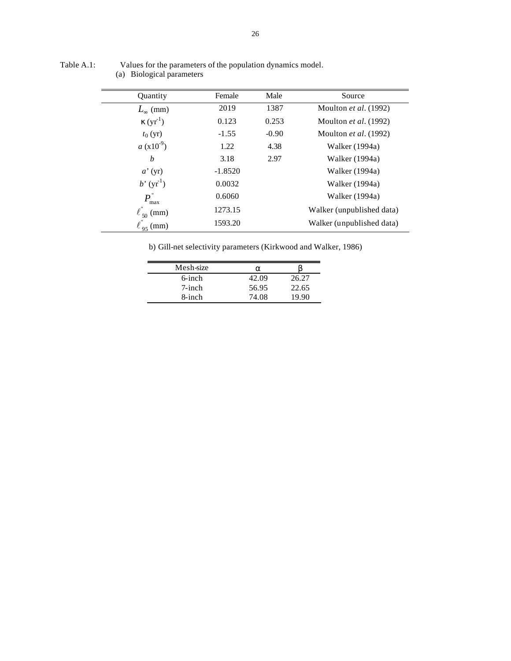| Quantity                     | Female    | Male    | Source                    |
|------------------------------|-----------|---------|---------------------------|
| $L_{\infty}$ (mm)            | 2019      | 1387    | Moulton et al. (1992)     |
| $\kappa$ (yr <sup>-1</sup> ) | 0.123     | 0.253   | Moulton et al. (1992)     |
| $t_0$ (yr)                   | $-1.55$   | $-0.90$ | Moulton et al. (1992)     |
| $a (x10^{-9})$               | 1.22      | 4.38    | Walker (1994a)            |
| b                            | 3.18      | 2.97    | Walker (1994a)            |
| $a'$ (yr)                    | $-1.8520$ |         | Walker (1994a)            |
| $b'$ (yr <sup>1</sup> )      | 0.0032    |         | Walker (1994a)            |
| $P^{\prime}$<br>max          | 0.6060    |         | Walker (1994a)            |
| $\ell_{50}$ (mm)             | 1273.15   |         | Walker (unpublished data) |
| $\ell_{95}$ (mm)             | 1593.20   |         | Walker (unpublished data) |

Table A.1: Values for the parameters of the population dynamics model. (a) Biological parameters

b) Gill-net selectivity parameters (Kirkwood and Walker, 1986)

| Mesh-size | α     |       |
|-----------|-------|-------|
| $6$ -inch | 42.09 | 26.27 |
| $7$ -inch | 56.95 | 22.65 |
| 8-inch    | 74.08 | 19.90 |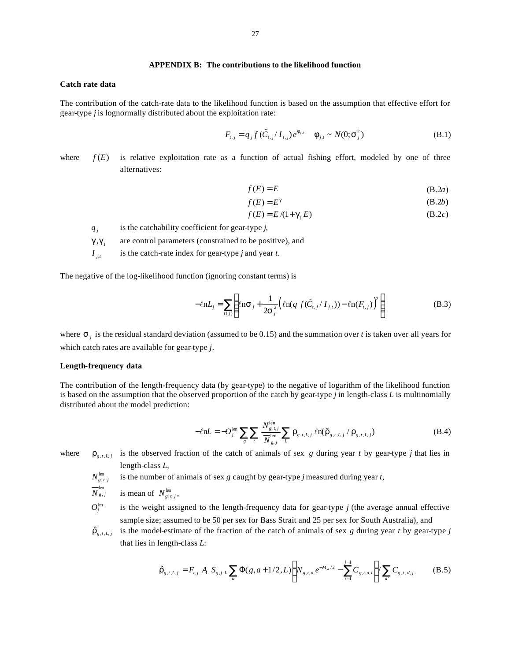# **APPENDIX B: The contributions to the likelihood function**

# **Catch rate data**

The contribution of the catch-rate data to the likelihood function is based on the assumption that effective effort for gear-type *j* is lognormally distributed about the exploitation rate:

$$
F_{t,j} = q_j f(\tilde{C}_{t,j}/I_{t,j}) e^{f_{j,t}} \quad \mathbf{f}_{j,t} \sim N(0; \mathbf{s}_j^2)
$$
 (B.1)

where  $f(E)$  is relative exploitation rate as a function of actual fishing effort, modeled by one of three alternatives:

$$
f(E) = E \tag{B.2a}
$$

$$
f(E) = E^g \tag{B.2b}
$$

$$
f(E) = E/(1 + g1 E)
$$
 (B.2*c*)

- *q j* is the catchability coefficient for gear-type *j*,
- $g, g_1$ are control parameters (constrained to be positive), and
- $I_{i,t}$ *I* is the catch-rate index for gear-type *j* and year *t*.

The negative of the log-likelihood function (ignoring constant terms) is

$$
-\ell nL_j = \sum_{t(j)} \left( \ell n \mathbf{s}_j + \frac{1}{2\mathbf{s}_j^2} \left( \ell n (q \ f(\tilde{C}_{t,j} / I_{j,t})) - \ell n(F_{t,j}) \right)^2 \right)
$$
(B.3)

where  $s_j$  is the residual standard deviation (assumed to be 0.15) and the summation over *t* is taken over all years for which catch rates are available for gear-type *j*.

#### **Length-frequency data**

The contribution of the length-frequency data (by gear-type) to the negative of logarithm of the likelihood function is based on the assumption that the observed proportion of the catch by gear-type *j* in length-class *L* is multinomially distributed about the model prediction:

$$
-\ell nL = -O_j^{\text{len}} \sum_{g} \sum_{t} \frac{N_{g,t,j}^{\text{len}}}{\overline{N}_{g,j}^{\text{len}}} \sum_{L} \mathbf{r}_{g,t,L,j} \ln(\hat{\mathbf{r}}_{g,t,L,j} / \mathbf{r}_{g,t,L,j})
$$
(B.4)

where  $\mathbf{r}_{g,t,L,j}$ 

- length-class *L*,  $N^{\mathrm{len}}_{g,t, j}$ is the number of animals of sex *g* caught by gear-type *j* measured during year *t*,
- $\overline{N}^{\text{len}}_{s,j}$  $N_{g,j}^{\text{ten}}$  is mean of  $N_{g,t,j}^{\text{len}}$ ,
- $O_i^{\mathrm{len}}$ is the weight assigned to the length-frequency data for gear-type  $j$  (the average annual effective sample size; assumed to be 50 per sex for Bass Strait and 25 per sex for South Australia), and

is the observed fraction of the catch of animals of sex *g* during year *t* by gear-type *j* that lies in

 $\hat{\bm{r}}_{\scriptscriptstyle_{g,t,L,j}}$ is the model-estimate of the fraction of the catch of animals of sex  $g$  during year  $t$  by gear-type  $j$ that lies in length-class *L*:

$$
\hat{\mathbf{r}}_{g,t,L,j} = F_{t,j} A_L S_{g,j,L} \sum_a \Phi(g,a+1/2,L) \left( N_{g,t,a} e^{-M_a/2} - \sum_{i=1}^{j-1} C_{g,t,a,i} \right) / \sum_a C_{g,t,a,j} \tag{B.5}
$$